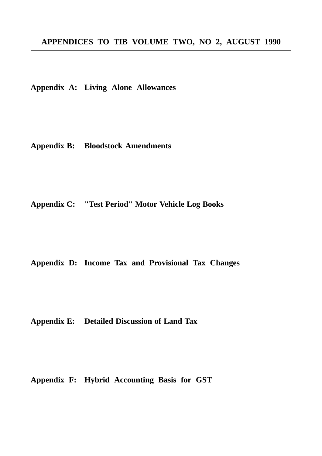# **APPENDICES TO TIB VOLUME TWO, NO 2, AUGUST 1990**

**Appendix A: Living Alone Allowances**

**Appendix B: Bloodstock Amendments**

**Appendix C: "Test Period" Motor Vehicle Log Books**

**Appendix D: Income Tax and Provisional Tax Changes**

**Appendix E: Detailed Discussion of Land Tax**

**Appendix F: Hybrid Accounting Basis for GST**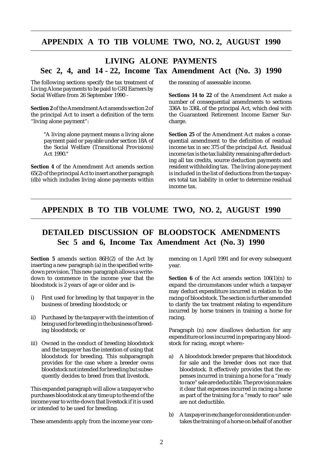# **APPENDIX A TO TIB VOLUME TWO, NO. 2, AUGUST 1990**

# **LIVING ALONE PAYMENTS Sec 2, 4, and 14 - 22, Income Tax Amendment Act (No. 3) 1990**

The following sections specify the tax treatment of Living Alone payments to be paid to GRI Earners by Social Welfare from 26 September 1990 -

**Section 2** of the Amendment Act amends section 2 of the principal Act to insert a definition of the term "living alone payment":

> "A living alone payment means a living alone payment paid or payable under section 18A of the Social Welfare (Transitional Provisions) Act 1990."

**Section 4** of the Amendment Act amends section 65(2) of the principal Act to insert another paragraph (db) which includes living alone payments within the meaning of assessable income.

**Sections 14 to 22** of the Amendment Act make a number of consequential amendments to sections 336A to 336L of the principal Act, which deal with the Guaranteed Retirement Income Earner Surcharge.

**Section 25** of the Amendment Act makes a consequential amendment to the definition of residual income tax in sec 375 of the principal Act. Residual income tax is the tax liability remaining after deducting all tax credits, source deduction payments and resident withholding tax. The living alone payment is included in the list of deductions from the taxpayers total tax liability in order to determine residual income tax.

## **APPENDIX B TO TIB VOLUME TWO, NO. 2, AUGUST 1990**

# **DETAILED DISCUSSION OF BLOODSTOCK AMENDMENTS Sec 5 and 6, Income Tax Amendment Act (No. 3) 1990**

**Section 5** amends section 86H(2) of the Act by inserting a new paragraph (a) in the specified writedown provision. This new paragraph allows a writedown to commence in the income year that the bloodstock is 2 years of age or older and is-

- i) First used for breeding by that taxpayer in the business of breeding bloodstock; or
- ii) Purchased by the taxpayer with the intention of being used for breeding in the business of breeding bloodstock; or
- iii) Owned in the conduct of breeding bloodstock and the taxpayer has the intention of using that bloodstock for breeding. This subparagraph provides for the case where a breeder owns bloodstock not intended for breeding but subsequently decides to breed from that livestock.

This expanded paragraph will allow a taxpayer who purchases bloodstock at any time up to the end of the income year to write-down that livestock if it is used or intended to be used for breeding.

These amendents apply from the income year com-

mencing on 1 April 1991 and for every subsequent year.

**Section 6** of the Act amends section  $106(1)(n)$  to expand the circumstances under which a taxpayer may deduct expenditure incurred in relation to the racing of bloodstock. The section is further amended to clarify the tax treatment relating to expenditure incurred by horse trainers in training a horse for racing.

Paragraph (n) now disallows deduction for any expenditure or loss incurred in preparing any bloodstock for racing, except where:-

- a) A bloodstock breeder prepares that bloodstock for sale and the breeder does not race that bloodstock. It effectively provides that the expenses incurred in training a horse for a "ready to race" sale are deductible. The provision makes it clear that expenses incurred in racing a horse as part of the training for a "ready to race" sale are not deductible.
- b) A taxpayer in exchange for consideration undertakes the training of a horse on behalf of another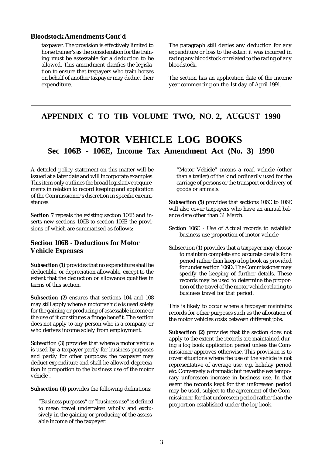### **Bloodstock Amendments Cont'd**

taxpayer. The provision is effectively limited to horse trainer's as the consideration for the training must be assessable for a deduction to be allowed. This amendment clarifies the legislation to ensure that taxpayers who train horses on behalf of another taxpayer may deduct their expenditure.

The paragraph still denies any deduction for any expenditure or loss to the extent it was incurred in racing any bloodstock or related to the racing of any bloodstock.

The section has an application date of the income year commencing on the 1st day of April 1991.

# **APPENDIX C TO TIB VOLUME TWO, NO. 2, AUGUST 1990**

# **MOTOR VEHICLE LOG BOOKS Sec 106B - 106E, Income Tax Amendment Act (No. 3) 1990**

A detailed policy statement on this matter will be issued at a later date and will incorporate examples. This item only outlines the broad legislative requirements in relation to record keeping and application of the Commissioner's discretion in specific circumstances.

**Section 7** repeals the existing section 106B and inserts new sections 106B to section 106E the provisions of which are summarised as follows:

## **Section 106B - Deductions for Motor Vehicle Expenses**

**Subsection (1)** provides that no expenditure shall be deductible, or depreciation allowable, except to the extent that the deduction or allowance qualifies in terms of this section.

**Subsection (2)** ensures that sections 104 and 108 may still apply where a motor vehicle is used solely for the gaining or producing of assessable income or the use of it constitutes a fringe benefit. The section does not apply to any person who is a company or who derives income solely from employment.

Subsection (3) provides that where a motor vehicle is used by a taxpayer partly for business purposes and partly for other purposes the taxpayer may deduct expenditure and shall be allowed depreciation in proportion to the business use of the motor vehicle .

**Subsection (4)** provides the following definitions:

"Business purposes" or "business use" is defined to mean travel undertaken wholly and exclusively in the gaining or producing of the assessable income of the taxpayer.

"Motor Vehicle" means a road vehicle (other than a trailer) of the kind ordinarily used for the carriage of persons or the transport or delivery of goods or animals.

**Subsection (5)** provides that sections 106C to 106E will also cover taxpayers who have an annual balance date other than 31 March.

- Section 106C Use of Actual records to establish business use proportion of motor vehicle
- Subsection (1) provides that a taxpayer may choose to maintain complete and accurate details for a period rather than keep a log book as provided for under section 106D. The Commissioner may specify the keeping of further details. These records may be used to determine the proportion of the travel of the motor vehicle relating to business travel for that period.

This is likely to occur where a taxpayer maintains records for other purposes such as the allocation of the motor vehicles costs between different jobs.

**Subsection (2)** provides that the section does not apply to the extent the records are maintained during a log book application period unless the Commissioner approves otherwise. This provision is to cover situations where the use of the vehicle is not representative of average use. e.g. holiday period etc. Conversely a dramatic but nevertheless temporary unforeseen increase in business use. In that event the records kept for that unforeseen period may be used, subject to the agreement of the Commissioner, for that unforeseen period rather than the proportion established under the log book.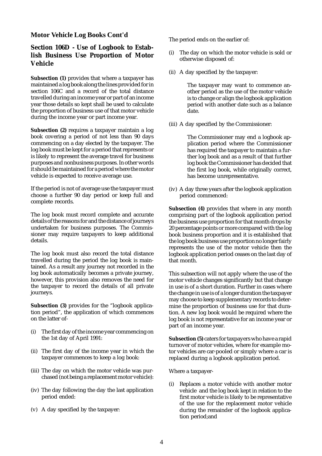### **Motor Vehicle Log Books Cont'd**

## **Section 106D - Use of Logbook to Establish Business Use Proportion of Motor Vehicle**

**Subsection (1)** provides that where a taxpayer has maintained a log book along the lines provided for in section 106C and a record of the total distance travelled during an income year or part of an income year those details so kept shall be used to calculate the proportion of business use of that motor vehicle during the income year or part income year.

**Subsection (2)** requires a taxpayer maintain a log book covering a period of not less than 90 days commencing on a day elected by the taxpayer. The log book must be kept for a period that represents or is likely to represent the average travel for business purposes and nonbusiness purposes. In other words it should be maintained for a period where the motor vehicle is expected to receive average use.

If the period is not of average use the taxpayer must choose a further 90 day period or keep full and complete records.

The log book must record complete and accurate details of the reasons for and the distance of journeys undertaken for business purposes. The Commissioner may require taxpayers to keep additional details.

The log book must also record the total distance travelled during the period the log book is maintained. As a result any journey not recorded in the log book automatically becomes a private journey, however, this provision also removes the need for the taxpayer to record the details of all private journeys.

**Subsection (3)** provides for the "logbook application period", the application of which commences on the latter of-

- (i) The first day of the income year commencing on the 1st day of April 1991:
- (ii) The first day of the income year in which the taxpayer commences to keep a log book:
- (iii) The day on which the motor vehicle was purchased (not being a replacement motor vehicle):
- (iv) The day following the day the last application period ended:
- (v) A day specified by the taxpayer:

The period ends on the earlier of:

- (i) The day on which the motor vehicle is sold or otherwise disposed of:
- (ii) A day specified by the taxpayer:

The taxpayer may want to commence another period as the use of the motor vehicle is to change or align the logbook application period with another date such as a balance date.

(iii) A day specified by the Commissioner:

The Commissioner may end a logbook application period where the Commissioner has required the taxpayer to maintain a further log book and as a result of that further log book the Commissioner has decided that the first log book, while originally correct, has become unrepresentative.

(iv) A day three years after the logbook application period commenced:

**Subsection (4)** provides that where in any month comprising part of the logbook application period the business use proportion for that month drops by 20 percentage points or more compared with the log book business proportion and it is established that the log book business use proportion no longer fairly represents the use of the motor vehicle then the logbook application period ceases on the last day of that month.

This subsection will not apply where the use of the motor vehicle changes significantly but that change in use is of a short duration. Further in cases where the change in use is of a longer duration the taxpayer may choose to keep supplementary records to determine the proportion of business use for that duration. A new log book would be required where the log book is not representative for an income year or part of an income year.

**Subsection (5)** caters for taxpayers who have a rapid turnover of motor vehicles, where for example motor vehicles are car-pooled or simply where a car is replaced during a logbook application period.

Where a taxpayer-

(i) Replaces a motor vehicle with another motor vehicle and the log book kept in relation to the first motor vehicle is likely to be representative of the use for the replacement motor vehicle during the remainder of the logbook application period;and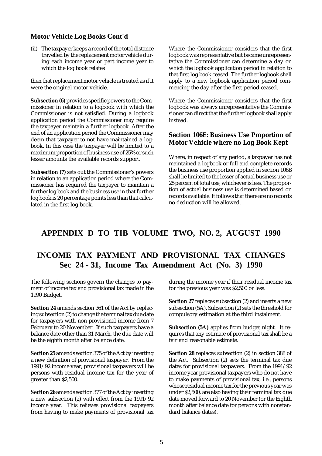### **Motor Vehicle Log Books Cont'd**

(ii) The taxpayer keeps a record of the total distance travelled by the replacement motor vehicle during each income year or part income year to which the log book relates

then that replacement motor vehicle is treated as if it were the original motor vehicle.

**Subsection (6)** provides specific powers to the Commissioner in relation to a logbook with which the Commissioner is not satisfied. During a logbook application period the Commissioner may require the taxpayer maintain a further logbook. After the end of an application period the Commissioner may deem that taxpayer to not have maintained a logbook. In this case the taxpayer will be limited to a maximum proportion of business use of 25% or such lesser amounts the available records support.

**Subsection (7)** sets out the Commissioner's powers in relation to an application period where the Commissioner has required the taxpayer to maintain a further log book and the business use in that further log book is 20 percentage points less than that calculated in the first log book.

Where the Commissioner considers that the first logbook was representative but became unrepresentative the Commissioner can determine a day on which the logbook application period in relation to that first log book ceased. The further logbook shall apply to a new logbook application period commencing the day after the first period ceased.

Where the Commissioner considers that the first logbook was always unrepresentative the Commissioner can direct that the further logbook shall apply instead.

### **Section 106E: Business Use Proportion of Motor Vehicle where no Log Book Kept**

Where, in respect of any period, a taxpayer has not maintained a logbook or full and complete records the business use proportion applied in section 106B shall be limited to the lesser of actual business use or 25 percent of total use, whichever is less. The proportion of actual business use is determined based on records available. It follows that there are no records no deduction will be allowed.

# **APPENDIX D TO TIB VOLUME TWO, NO. 2, AUGUST 1990**

# **INCOME TAX PAYMENT AND PROVISIONAL TAX CHANGES Sec 24 - 31, Income Tax Amendment Act (No. 3) 1990**

The following sections govern the changes to payment of income tax and provisional tax made in the 1990 Budget.

**Section 24** amends section 361 of the Act by replacing subsection (2) to change the terminal tax due date for taxpayers with non-provisional income from 7 February to 20 November. If such taxpayers have a balance date other than 31 March, the due date will be the eighth month after balance date.

**Section 25** amends section 375 of the Act by inserting a new definition of provisional taxpayer. From the 1991/92 income year, provisional taxpayers will be persons with residual income tax for the year of greater than \$2,500.

**Section 26** amends section 377 of the Act by inserting a new subsection (2) with effect from the 1991/92 income year. This relieves provisional taxpayers from having to make payments of provisional tax during the income year if their residual income tax for the previous year was \$2,500 or less.

**Section 27** replaces subsection (2) and inserts a new subsection (5A). Subsection (2) sets the threshold for compulsory estimation at the third instalment.

**Subsection (5A)** applies from budget night. It requires that any estimate of provisional tax shall be a fair and reasonable estimate.

**Section 28** replaces subsection (2) in section 388 of the Act. Subsection (2) sets the terminal tax due dates for provisional taxpayers. From the 1991/92 income year provisional taxpayers who do not have to make payments of provisional tax, i.e., persons whose residual income tax for the previous year was under \$2,500, are also having their terminal tax due date moved forward to 20 November (or the Eighth month after balance date for persons with nonstandard balance dates).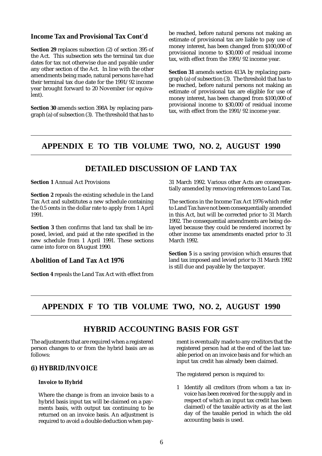### **Income Tax and Provisional Tax Cont'd**

**Section 29** replaces subsection (2) of section 395 of the Act. This subsection sets the terminal tax due dates for tax not otherwise due and payable under any other section of the Act. In line with the other amendments being made, natural persons have had their terminal tax due date for the 1991/92 income year brought forward to 20 November (or equivalent).

**Section 30** amends section 398A by replacing paragraph (a) of subsection (3). The threshold that has to be reached, before natural persons not making an estimate of provisional tax are liable to pay use of money interest, has been changed from \$100,000 of provisional income to \$30,000 of residual income tax, with effect from the 1991/92 income year.

**Section 31** amends section 413A by replacing paragraph (a) of subsection (3). The threshold that has to be reached, before natural persons not making an estimate of provisional tax are eligible for use of money interest, has been changed from \$100,000 of provisional income to \$30,000 of residual income tax, with effect from the 1991/92 income year.

## **APPENDIX E TO TIB VOLUME TWO, NO. 2, AUGUST 1990**

# **DETAILED DISCUSSION OF LAND TAX**

#### **Section 1** Annual Act Provisions

**Section 2** repeals the existing schedule in the Land Tax Act and substitutes a new schedule containing the 0.5 cents in the dollar rate to apply from 1 April 1991.

**Section 3** then confirms that land tax shall be imposed, levied, and paid at the rate specified in the new schedule from 1 April 1991. These sections came into force on 8August 1990.

### **Abolition of Land Tax Act 1976**

**Section 4** repeals the Land Tax Act with effect from

31 March 1992. Various other Acts are consequentially amended by removing references to Land Tax.

The sections in the Income Tax Act 1976 which refer to Land Tax have not been consequentially amended in this Act, but will be corrected prior to 31 March 1992. The consequential amendments are being delayed because they could be rendered incorrect by other income tax amendments enacted prior to 31 March 1992.

**Section 5** is a saving provision which ensures that land tax imposed and levied prior to 31 March 1992 is still due and payable by the taxpayer.

# **APPENDIX F TO TIB VOLUME TWO, NO. 2, AUGUST 1990**

## **HYBRID ACCOUNTING BASIS FOR GST**

The adjustments that are required when a registered person changes to or from the hybrid basis are as follows:

### **(i) HYBRID/INVOICE**

### **Invoice to Hybrid**

Where the change is from an invoice basis to a hybrid basis input tax will be claimed on a payments basis, with output tax continuing to be returned on an invoice basis. An adjustment is required to avoid a double deduction when payment is eventually made to any creditors that the registered person had at the end of the last taxable period on an invoice basis and for which an input tax credit has already been claimed.

The registered person is required to:

1 Identify all creditors (from whom a tax invoice has been received for the supply and in respect of which an input tax credit has been claimed) of the taxable activity as at the last day of the taxable period in which the old accounting basis is used.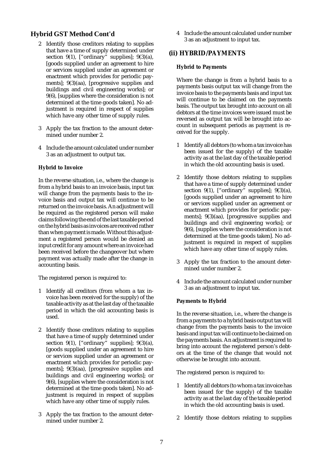## **Hybrid GST Method Cont'd**

- 2 Identify those creditors relating to supplies that have a time of supply determined under section 9(1),  $\left[ \text{``ordinary} \right]$  supplies]; 9(3)(a), [goods supplied under an agreement to hire or services supplied under an agreement or enactment which provides for periodic payments]; 9(3)(aa), [progressive supplies and buildings and civil engineering works]; or 9(6), [supplies where the consideration is not determined at the time goods taken]. No adjustment is required in respect of supplies which have any other time of supply rules.
- 3 Apply the tax fraction to the amount determined under number 2.
- 4 Include the amount calculated under number 3 as an adjustment to output tax.

### **Hybrid to Invoice**

In the reverse situation, i.e., where the change is from a hybrid basis to an invoice basis, input tax will change from the payments basis to the invoice basis and output tax will continue to be returned on the invoice basis. An adjustment will be required as the registered person will make claims following the end of the last taxable period on the hybrid basis as invoices are received rather than when payment is made. Without this adjustment a registered person would be denied an input credit for any amount where an invoice had been received before the changeover but where payment was actually made after the change in accounting basis.

The registered person is required to:

- 1 Identify all creditors (from whom a tax invoice has been received for the supply) of the taxable activity as at the last day of the taxable period in which the old accounting basis is used.
- 2 Identify those creditors relating to supplies that have a time of supply determined under section 9(1), ["ordinary" supplies]; 9(3)(a), [goods supplied under an agreement to hire or services supplied under an agreement or enactment which provides for periodic payments]; 9(3)(aa), [progressive supplies and buildings and civil engineering works]; or 9(6), [supplies where the consideration is not determined at the time goods taken]. No adjustment is required in respect of supplies which have any other time of supply rules.
- 3 Apply the tax fraction to the amount determined under number 2.

4 Include the amount calculated under number 3 as an adjustment to input tax.

### **(ii) HYBRID/PAYMENTS**

### **Hybrid to Payments**

Where the change is from a hybrid basis to a payments basis output tax will change from the invoice basis to the payments basis and input tax will continue to be claimed on the payments basis. The output tax brought into account on all debtors at the time invoices were issued must be reversed as output tax will be brought into account in subsequent periods as payment is received for the supply.

- 1 Identify all debtors (to whom a tax invoice has been issued for the supply) of the taxable activity as at the last day of the taxable period in which the old accounting basis is used.
- 2 Identify those debtors relating to supplies that have a time of supply determined under section 9(1), ["ordinary" supplies]; 9(3)(a), [goods supplied under an agreement to hire or services supplied under an agreement or enactment which provides for periodic payments]; 9(3)(aa), [progressive supplies and buildings and civil engineering works]; or 9(6), [supplies where the consideration is not determined at the time goods taken]. No adjustment is required in respect of supplies which have any other time of supply rules.
- 3 Apply the tax fraction to the amount determined under number 2.
- 4 Include the amount calculated under number 3 as an adjustment to input tax.

### **Payments to Hybrid**

In the reverse situation, i.e., where the change is from a payments to a hybrid basis output tax will change from the payments basis to the invoice basis and input tax will continue to be claimed on the payments basis. An adjustment is required to bring into account the registered person's debtors at the time of the change that would not otherwise be brought into account.

The registered person is required to:

- 1 Identify all debtors (to whom a tax invoice has been issued for the supply) of the taxable activity as at the last day of the taxable period in which the old accounting basis is used.
- 2 Identify those debtors relating to supplies